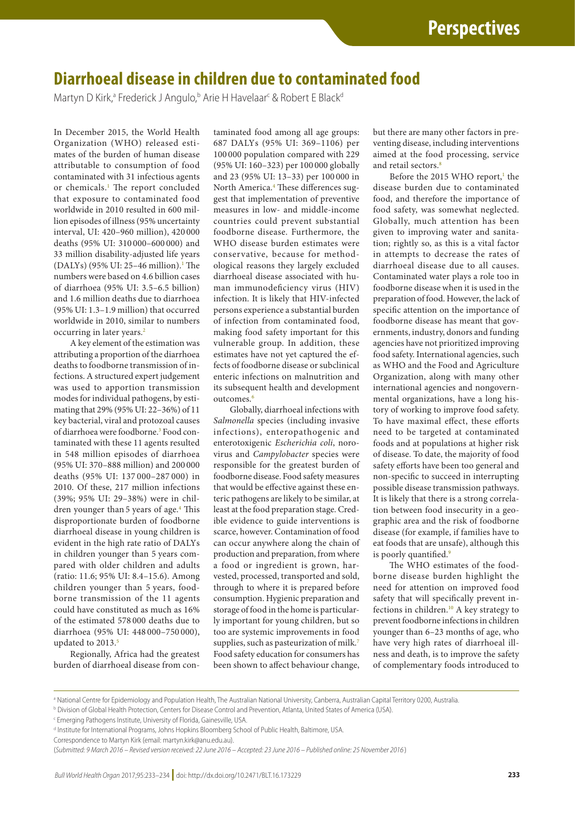## **Diarrhoeal disease in children due to contaminated food**

Martyn D Kirk,<sup>a</sup> Frederick J Angulo,<sup>b</sup> Arie H Havelaar<sup>c</sup> & Robert E Black<sup>d</sup>

In December 2015, the World Health Organization (WHO) released estimates of the burden of human disease attributable to consumption of food contaminated with 31 infectious agents or chemicals.<sup>[1](#page-1-0)</sup> The report concluded that exposure to contaminated food worldwide in 2010 resulted in 600 million episodes of illness (95% uncertainty interval, UI: 420–960 million), 420 000 deaths (95% UI: 310 000–600 000) and 33 million disability-adjusted life years (DALYs) (95% UI: 25–46 million).<sup>[1](#page-1-0)</sup> The numbers were based on 4.6 billion cases of diarrhoea (95% UI: 3.5–6.5 billion) and 1.6 million deaths due to diarrhoea (95% UI: 1.3–1.9 million) that occurred worldwide in 2010, similar to numbers occurring in later years.<sup>[2](#page-1-1)</sup>

A key element of the estimation was attributing a proportion of the diarrhoea deaths to foodborne transmission of infections. A structured expert judgement was used to apportion transmission modes for individual pathogens, by estimating that 29% (95% UI: 22–36%) of 11 key bacterial, viral and protozoal causes of diarrhoea were foodborne.<sup>3</sup> Food contaminated with these 11 agents resulted in 548 million episodes of diarrhoea (95% UI: 370–888 million) and 200 000 deaths (95% UI: 137 000–287 000) in 2010. Of these, 217 million infections (39%; 95% UI: 29–38%) were in chil-dren younger than 5 years of age.<sup>[4](#page-1-3)</sup> This disproportionate burden of foodborne diarrhoeal disease in young children is evident in the high rate ratio of DALYs in children younger than 5 years compared with older children and adults (ratio: 11.6; 95% UI: 8.4–15.6). Among children younger than 5 years, foodborne transmission of the 11 agents could have constituted as much as 16% of the estimated 578 000 deaths due to diarrhoea (95% UI: 448 000–750 000), updated to 2013.<sup>[5](#page-1-4)</sup>

Regionally, Africa had the greatest burden of diarrhoeal disease from contaminated food among all age groups: 687 DALYs (95% UI: 369–1106) per 100 000 population compared with 229 (95% UI: 160–323) per 100 000 globally and 23 (95% UI: 13–33) per 100 000 in North America.<sup>4</sup> These differences suggest that implementation of preventive measures in low- and middle-income countries could prevent substantial foodborne disease. Furthermore, the WHO disease burden estimates were conservative, because for methodological reasons they largely excluded diarrhoeal disease associated with human immunodeficiency virus (HIV) infection. It is likely that HIV-infected persons experience a substantial burden of infection from contaminated food, making food safety important for this vulnerable group. In addition, these estimates have not yet captured the effects of foodborne disease or subclinical enteric infections on malnutrition and its subsequent health and development outcomes.<sup>[6](#page-1-5)</sup>

Globally, diarrhoeal infections with *Salmonella* species (including invasive infections), enteropathogenic and enterotoxigenic *Escherichia coli*, norovirus and *Campylobacter* species were responsible for the greatest burden of foodborne disease. Food safety measures that would be effective against these enteric pathogens are likely to be similar, at least at the food preparation stage. Credible evidence to guide interventions is scarce, however. Contamination of food can occur anywhere along the chain of production and preparation, from where a food or ingredient is grown, harvested, processed, transported and sold, through to where it is prepared before consumption. Hygienic preparation and storage of food in the home is particularly important for young children, but so too are systemic improvements in food supplies, such as pasteurization of milk.<sup>[7](#page-1-6)</sup> Food safety education for consumers has been shown to affect behaviour change,

but there are many other factors in preventing disease, including interventions aimed at the food processing, service and retail sectors.<sup>[8](#page-1-7)</sup>

Before the 2015 WHO report, $<sup>1</sup>$  the</sup> disease burden due to contaminated food, and therefore the importance of food safety, was somewhat neglected. Globally, much attention has been given to improving water and sanitation; rightly so, as this is a vital factor in attempts to decrease the rates of diarrhoeal disease due to all causes. Contaminated water plays a role too in foodborne disease when it is used in the preparation of food. However, the lack of specific attention on the importance of foodborne disease has meant that governments, industry, donors and funding agencies have not prioritized improving food safety. International agencies, such as WHO and the Food and Agriculture Organization, along with many other international agencies and nongovernmental organizations, have a long history of working to improve food safety. To have maximal effect, these efforts need to be targeted at contaminated foods and at populations at higher risk of disease. To date, the majority of food safety efforts have been too general and non-specific to succeed in interrupting possible disease transmission pathways. It is likely that there is a strong correlation between food insecurity in a geographic area and the risk of foodborne disease (for example, if families have to eat foods that are unsafe), although this is poorly quantified.<sup>9</sup>

The WHO estimates of the foodborne disease burden highlight the need for attention on improved food safety that will specifically prevent infections in children.<sup>10</sup> A key strategy to prevent foodborne infections in children younger than 6–23 months of age, who have very high rates of diarrhoeal illness and death, is to improve the safety of complementary foods introduced to

a National Centre for Epidemiology and Population Health, The Australian National University, Canberra, Australian Capital Territory 0200, Australia.

b Division of Global Health Protection, Centers for Disease Control and Prevention, Atlanta, United States of America (USA).

<sup>&</sup>lt;sup>c</sup> Emerging Pathogens Institute, University of Florida, Gainesville, USA.

d Institute for International Programs, Johns Hopkins Bloomberg School of Public Health, Baltimore, USA.

Correspondence to Martyn Kirk (email: martyn.kirk@anu.edu.au).

<sup>(</sup>*Submitted: 9 March 2016 – Revised version received: 22 June 2016 – Accepted: 23 June 2016 – Published online: 25 November 2016* )